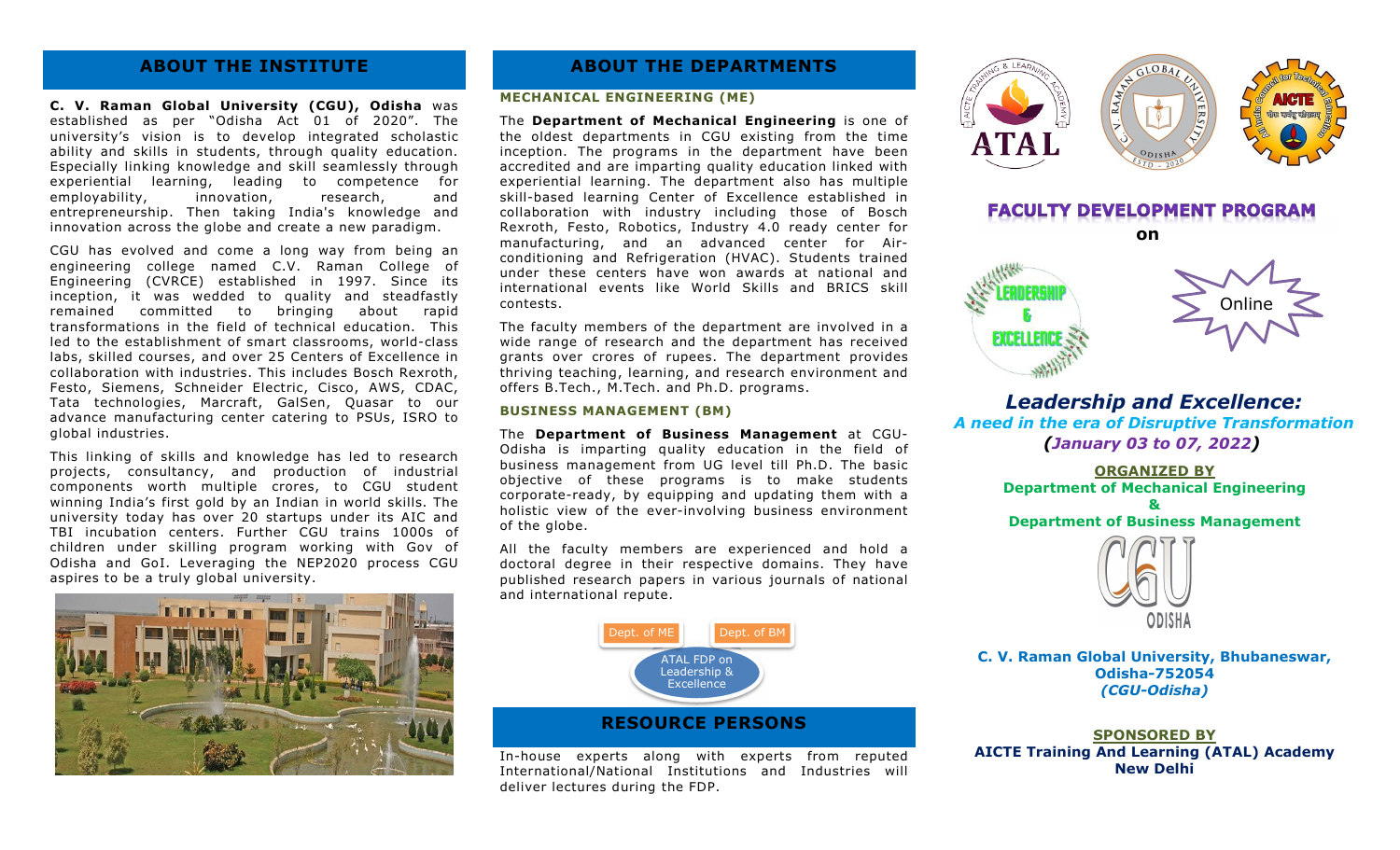## **ABOUT THE INSTITUTE**

**C. V. Raman Global University (CGU), Odisha** was established as per "Odisha Act 01 of 2020". The university's vision is to develop integrated scholastic ability and skills in students, through quality education. Especially linking knowledge and skill seamlessly through experiential learning, leading to competence for employability, innovation, research, and entrepreneurship. Then taking India's knowledge and innovation across the globe and create a new paradigm.

CGU has evolved and come a long way from being an engineering college named C.V. Raman College of Engineering (CVRCE) established in 1997. Since its inception, it was wedded to quality and steadfastly remained committed to bringing about rapid transformations in the field of technical education. This led to the establishment of smart classrooms, world-class labs, skilled courses, and over 25 Centers of Excellence in collaboration with industries. This includes Bosch Rexroth, Festo, Siemens, Schneider Electric, Cisco, AWS, CDAC, Tata technologies, Marcraft, GalSen, Quasar to our advance manufacturing center catering to PSUs, ISRO to global industries.

This linking of skills and knowledge has led to research projects, consultancy, and production of industrial components worth multiple crores, to CGU student winning India's first gold by an Indian in world skills. The university today has over 20 startups under its AIC and TBI incubation centers. Further CGU trains 1000s of children under skilling program working with Gov of Odisha and GoI. Leveraging the NEP2020 process CGU aspires to be a truly global university.



### **ABOUT THE DEPARTMENTS**

#### **MECHANICAL ENGINEERING (ME)**

The **Department of Mechanical Engineering** is one of the oldest departments in CGU existing from the time inception. The programs in the department have been accredited and are imparting quality education linked with experiential learning. The department also has multiple skill-based learning Center of Excellence established in collaboration with industry including those of Bosch Rexroth, Festo, Robotics, Industry 4.0 ready center for manufacturing, and an advanced center for Airconditioning and Refrigeration (HVAC). Students trained under these centers have won awards at national and international events like World Skills and BRICS skill contests.

The faculty members of the department are involved in a wide range of research and the department has received grants over crores of rupees. The department provides thriving teaching, learning, and research environment and offers B.Tech., M.Tech. and Ph.D. programs.

#### **BUSINESS MANAGEMENT (BM)**

The **Department of Business Management** at CGU-Odisha is imparting quality education in the field of business management from UG level till Ph.D. The basic objective of these programs is to make students corporate-ready, by equipping and updating them with a holistic view of the ever-involving business environment of the globe.

All the faculty members are experienced and hold a doctoral degree in their respective domains. They have published research papers in various journals of national and international repute.



#### **RESOURCE PERSONS**

In-house experts along with experts from reputed International/National Institutions and Industries will deliver lectures during the FDP.



*Leadership and Excellence: A need in the era of Disruptive Transformation (January 03 to 07, 2022)*

> **ORGANIZED BY Department of Mechanical Engineering & Department of Business Management**



**C. V. Raman Global University, Bhubaneswar, Odisha-752054** *(CGU-Odisha)*

**SPONSORED BY AICTE Training And Learning (ATAL) Academy New Delhi**